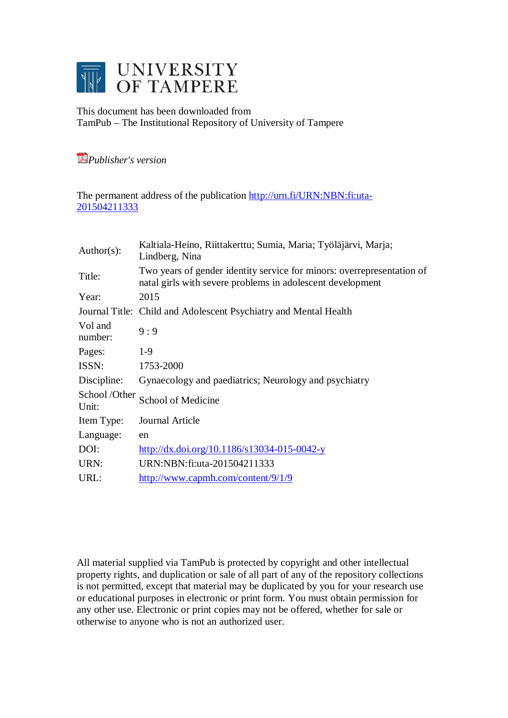

This document has been downloaded from TamPub – The Institutional Repository of University of Tampere

# *Publisher's version*

The permanent address of the publication [http://urn.fi/URN:NBN:fi:uta-](http://urn.fi/URN:NBN:fi:uta-201504211333)[201504211333](http://urn.fi/URN:NBN:fi:uta-201504211333)

| Author(s):            | Kaltiala-Heino, Riittakerttu; Sumia, Maria; Työläjärvi, Marja;<br>Lindberg, Nina                                                     |
|-----------------------|--------------------------------------------------------------------------------------------------------------------------------------|
| Title:                | Two years of gender identity service for minors: overrepresentation of<br>natal girls with severe problems in adolescent development |
| Year:                 | 2015                                                                                                                                 |
|                       | Journal Title: Child and Adolescent Psychiatry and Mental Health                                                                     |
| Vol and<br>number:    | 9:9                                                                                                                                  |
| Pages:                | $1-9$                                                                                                                                |
| ISSN:                 | 1753-2000                                                                                                                            |
| Discipline:           | Gynaecology and paediatrics; Neurology and psychiatry                                                                                |
| School/Other<br>Unit: | School of Medicine                                                                                                                   |
| Item Type:            | <b>Journal Article</b>                                                                                                               |
| Language:             | en                                                                                                                                   |
| DOI:                  | http://dx.doi.org/10.1186/s13034-015-0042-y                                                                                          |
| URN:                  | URN:NBN:fi:uta-201504211333                                                                                                          |
| URL:                  | http://www.capmh.com/content/9/1/9                                                                                                   |

All material supplied via TamPub is protected by copyright and other intellectual property rights, and duplication or sale of all part of any of the repository collections is not permitted, except that material may be duplicated by you for your research use or educational purposes in electronic or print form. You must obtain permission for any other use. Electronic or print copies may not be offered, whether for sale or otherwise to anyone who is not an authorized user.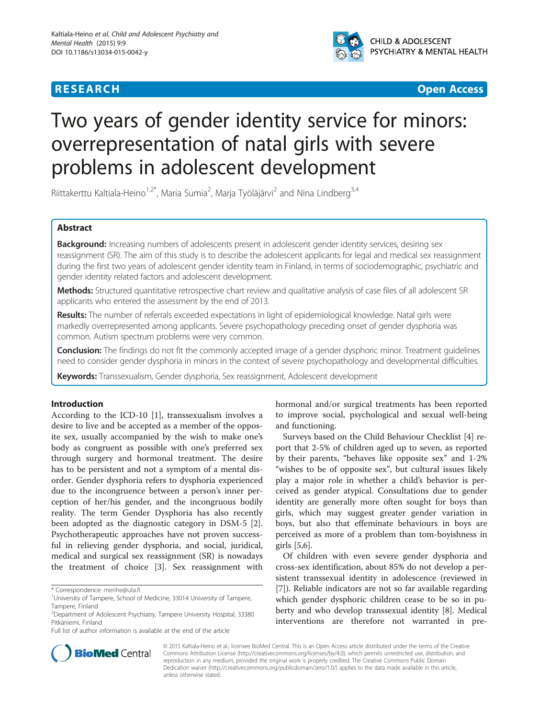# **RESEARCH CHE Open Access**



# Two years of gender identity service for minors: overrepresentation of natal girls with severe problems in adolescent development

Riittakerttu Kaltiala-Heino<sup>1,2\*</sup>, Maria Sumia<sup>2</sup>, Marja Työläjärvi<sup>2</sup> and Nina Lindberg<sup>3,4</sup>

# Abstract

Background: Increasing numbers of adolescents present in adolescent gender identity services, desiring sex reassignment (SR). The aim of this study is to describe the adolescent applicants for legal and medical sex reassignment during the first two years of adolescent gender identity team in Finland, in terms of sociodemographic, psychiatric and gender identity related factors and adolescent development.

Methods: Structured quantitative retrospective chart review and qualitative analysis of case files of all adolescent SR applicants who entered the assessment by the end of 2013.

Results: The number of referrals exceeded expectations in light of epidemiological knowledge. Natal girls were markedly overrepresented among applicants. Severe psychopathology preceding onset of gender dysphoria was common. Autism spectrum problems were very common.

Conclusion: The findings do not fit the commonly accepted image of a gender dysphoric minor. Treatment quidelines need to consider gender dysphoria in minors in the context of severe psychopathology and developmental difficulties.

Keywords: Transsexualism, Gender dysphoria, Sex reassignment, Adolescent development

# Introduction

According to the ICD-10 [\[1](#page-8-0)], transsexualism involves a desire to live and be accepted as a member of the opposite sex, usually accompanied by the wish to make one's body as congruent as possible with one's preferred sex through surgery and hormonal treatment. The desire has to be persistent and not a symptom of a mental disorder. Gender dysphoria refers to dysphoria experienced due to the incongruence between a person's inner perception of her/his gender, and the incongruous bodily reality. The term Gender Dysphoria has also recently been adopted as the diagnostic category in DSM-5 [\[2](#page-8-0)]. Psychotherapeutic approaches have not proven successful in relieving gender dysphoria, and social, juridical, medical and surgical sex reassignment (SR) is nowadays the treatment of choice [[3\]](#page-8-0). Sex reassignment with

Full list of author information is available at the end of the article

hormonal and/or surgical treatments has been reported to improve social, psychological and sexual well-being and functioning.

Surveys based on the Child Behaviour Checklist [[4\]](#page-8-0) report that 2-5% of children aged up to seven, as reported by their parents, "behaves like opposite sex" and 1-2% "wishes to be of opposite sex", but cultural issues likely play a major role in whether a child's behavior is perceived as gender atypical. Consultations due to gender identity are generally more often sought for boys than girls, which may suggest greater gender variation in boys, but also that effeminate behaviours in boys are perceived as more of a problem than tom-boyishness in girls [\[5,6](#page-9-0)].

Of children with even severe gender dysphoria and cross-sex identification, about 85% do not develop a persistent transsexual identity in adolescence (reviewed in [[7\]](#page-9-0)). Reliable indicators are not so far available regarding which gender dysphoric children cease to be so in puberty and who develop transsexual identity [[8\]](#page-9-0). Medical interventions are therefore not warranted in pre-



© 2015 Kaltiala-Heino et al.; licensee BioMed Central. This is an Open Access article distributed under the terms of the Creative Commons Attribution License [\(http://creativecommons.org/licenses/by/4.0\)](http://creativecommons.org/licenses/by/4.0), which permits unrestricted use, distribution, and reproduction in any medium, provided the original work is properly credited. The Creative Commons Public Domain Dedication waiver [\(http://creativecommons.org/publicdomain/zero/1.0/](http://creativecommons.org/publicdomain/zero/1.0/)) applies to the data made available in this article, unless otherwise stated.

<sup>\*</sup> Correspondence: [merihe@uta.fi](mailto:merihe@uta.fi) <sup>1</sup>

<sup>&</sup>lt;sup>1</sup>University of Tampere, School of Medicine, 33014 University of Tampere, Tampere, Finland

<sup>2</sup> Department of Adolescent Psychiatry, Tampere University Hospital, 33380 Pitkäniemi, Finland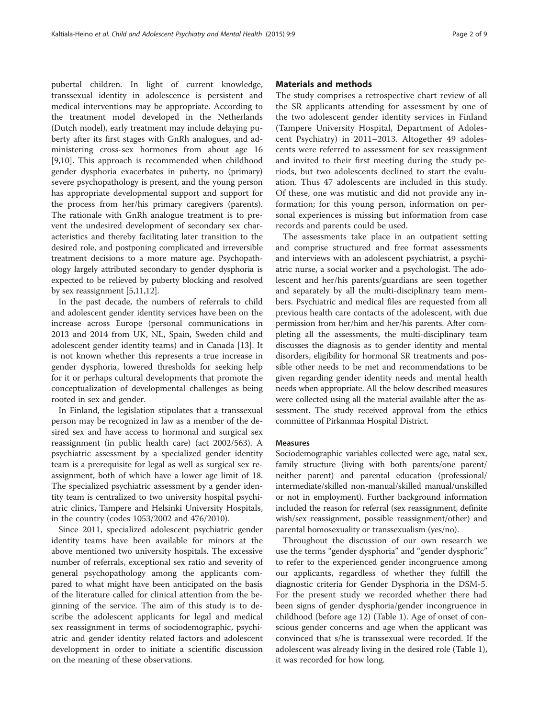pubertal children. In light of current knowledge, transsexual identity in adolescence is persistent and medical interventions may be appropriate. According to the treatment model developed in the Netherlands (Dutch model), early treatment may include delaying puberty after its first stages with GnRh analogues, and administering cross-sex hormones from about age 16 [[9,10\]](#page-9-0). This approach is recommended when childhood gender dysphoria exacerbates in puberty, no (primary) severe psychopathology is present, and the young person has appropriate developmental support and support for the process from her/his primary caregivers (parents). The rationale with GnRh analogue treatment is to prevent the undesired development of secondary sex characteristics and thereby facilitating later transition to the desired role, and postponing complicated and irreversible treatment decisions to a more mature age. Psychopathology largely attributed secondary to gender dysphoria is expected to be relieved by puberty blocking and resolved by sex reassignment [\[5,11,12\]](#page-9-0).

In the past decade, the numbers of referrals to child and adolescent gender identity services have been on the increase across Europe (personal communications in 2013 and 2014 from UK, NL, Spain, Sweden child and adolescent gender identity teams) and in Canada [[13](#page-9-0)]. It is not known whether this represents a true increase in gender dysphoria, lowered thresholds for seeking help for it or perhaps cultural developments that promote the conceptualization of developmental challenges as being rooted in sex and gender.

In Finland, the legislation stipulates that a transsexual person may be recognized in law as a member of the desired sex and have access to hormonal and surgical sex reassignment (in public health care) (act 2002/563). A psychiatric assessment by a specialized gender identity team is a prerequisite for legal as well as surgical sex reassignment, both of which have a lower age limit of 18. The specialized psychiatric assessment by a gender identity team is centralized to two university hospital psychiatric clinics, Tampere and Helsinki University Hospitals, in the country (codes 1053/2002 and 476/2010).

Since 2011, specialized adolescent psychiatric gender identity teams have been available for minors at the above mentioned two university hospitals. The excessive number of referrals, exceptional sex ratio and severity of general psychopathology among the applicants compared to what might have been anticipated on the basis of the literature called for clinical attention from the beginning of the service. The aim of this study is to describe the adolescent applicants for legal and medical sex reassignment in terms of sociodemographic, psychiatric and gender identity related factors and adolescent development in order to initiate a scientific discussion on the meaning of these observations.

# Materials and methods

The study comprises a retrospective chart review of all the SR applicants attending for assessment by one of the two adolescent gender identity services in Finland (Tampere University Hospital, Department of Adolescent Psychiatry) in 2011–2013. Altogether 49 adolescents were referred to assessment for sex reassignment and invited to their first meeting during the study periods, but two adolescents declined to start the evaluation. Thus 47 adolescents are included in this study. Of these, one was mutistic and did not provide any information; for this young person, information on personal experiences is missing but information from case records and parents could be used.

The assessments take place in an outpatient setting and comprise structured and free format assessments and interviews with an adolescent psychiatrist, a psychiatric nurse, a social worker and a psychologist. The adolescent and her/his parents/guardians are seen together and separately by all the multi-disciplinary team members. Psychiatric and medical files are requested from all previous health care contacts of the adolescent, with due permission from her/him and her/his parents. After completing all the assessments, the multi-disciplinary team discusses the diagnosis as to gender identity and mental disorders, eligibility for hormonal SR treatments and possible other needs to be met and recommendations to be given regarding gender identity needs and mental health needs when appropriate. All the below described measures were collected using all the material available after the assessment. The study received approval from the ethics committee of Pirkanmaa Hospital District.

# Measures

Sociodemographic variables collected were age, natal sex, family structure (living with both parents/one parent/ neither parent) and parental education (professional/ intermediate/skilled non-manual/skilled manual/unskilled or not in employment). Further background information included the reason for referral (sex reassignment, definite wish/sex reassignment, possible reassignment/other) and parental homosexuality or transsexualism (yes/no).

Throughout the discussion of our own research we use the terms "gender dysphoria" and "gender dysphoric" to refer to the experienced gender incongruence among our applicants, regardless of whether they fulfill the diagnostic criteria for Gender Dysphoria in the DSM-5. For the present study we recorded whether there had been signs of gender dysphoria/gender incongruence in childhood (before age 12) (Table [1\)](#page-3-0). Age of onset of conscious gender concerns and age when the applicant was convinced that s/he is transsexual were recorded. If the adolescent was already living in the desired role (Table [1](#page-3-0)), it was recorded for how long.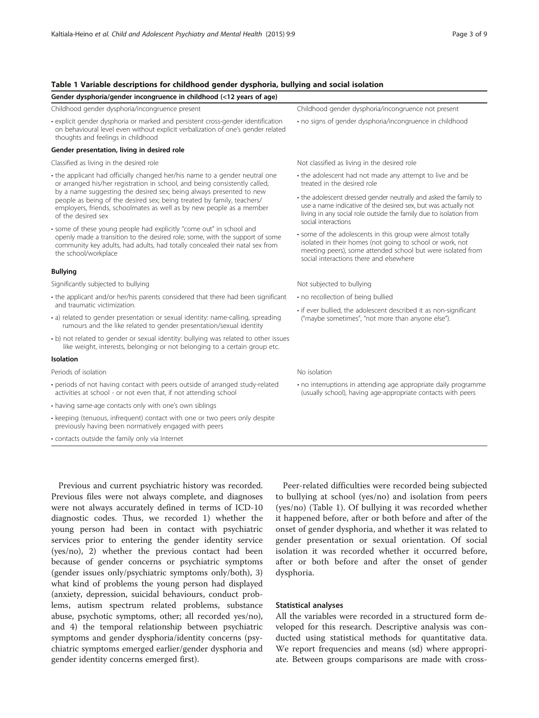# <span id="page-3-0"></span>Table 1 Variable descriptions for childhood gender dysphoria, bullying and social isolation

| Childhood gender dysphoria/incongruence not present                                                                                                                                                                                |  |
|------------------------------------------------------------------------------------------------------------------------------------------------------------------------------------------------------------------------------------|--|
| · no signs of gender dysphoria/incongruence in childhood                                                                                                                                                                           |  |
|                                                                                                                                                                                                                                    |  |
| Not classified as living in the desired role                                                                                                                                                                                       |  |
| • the adolescent had not made any attempt to live and be<br>treated in the desired role                                                                                                                                            |  |
| • the adolescent dressed gender neutrally and asked the family to<br>use a name indicative of the desired sex, but was actually not<br>living in any social role outside the family due to isolation from<br>social interactions   |  |
| · some of the adolescents in this group were almost totally<br>isolated in their homes (not going to school or work, not<br>meeting peers), some attended school but were isolated from<br>social interactions there and elsewhere |  |
|                                                                                                                                                                                                                                    |  |
| Not subjected to bullying                                                                                                                                                                                                          |  |
| • no recollection of being bullied<br>• if ever bullied, the adolescent described it as non-significant                                                                                                                            |  |
| ("maybe sometimes", "not more than anyone else").                                                                                                                                                                                  |  |
|                                                                                                                                                                                                                                    |  |
|                                                                                                                                                                                                                                    |  |
| No isolation                                                                                                                                                                                                                       |  |
| · no interruptions in attending age appropriate daily programme<br>(usually school), having age-appropriate contacts with peers                                                                                                    |  |
|                                                                                                                                                                                                                                    |  |
|                                                                                                                                                                                                                                    |  |
|                                                                                                                                                                                                                                    |  |

• contacts outside the family only via Internet

Previous and current psychiatric history was recorded. Previous files were not always complete, and diagnoses were not always accurately defined in terms of ICD-10 diagnostic codes. Thus, we recorded 1) whether the young person had been in contact with psychiatric services prior to entering the gender identity service (yes/no), 2) whether the previous contact had been because of gender concerns or psychiatric symptoms (gender issues only/psychiatric symptoms only/both), 3) what kind of problems the young person had displayed (anxiety, depression, suicidal behaviours, conduct problems, autism spectrum related problems, substance abuse, psychotic symptoms, other; all recorded yes/no), and 4) the temporal relationship between psychiatric symptoms and gender dysphoria/identity concerns (psychiatric symptoms emerged earlier/gender dysphoria and gender identity concerns emerged first).

Peer-related difficulties were recorded being subjected to bullying at school (yes/no) and isolation from peers (yes/no) (Table 1). Of bullying it was recorded whether it happened before, after or both before and after of the onset of gender dysphoria, and whether it was related to gender presentation or sexual orientation. Of social isolation it was recorded whether it occurred before, after or both before and after the onset of gender dysphoria.

# Statistical analyses

All the variables were recorded in a structured form developed for this research. Descriptive analysis was conducted using statistical methods for quantitative data. We report frequencies and means (sd) where appropriate. Between groups comparisons are made with cross-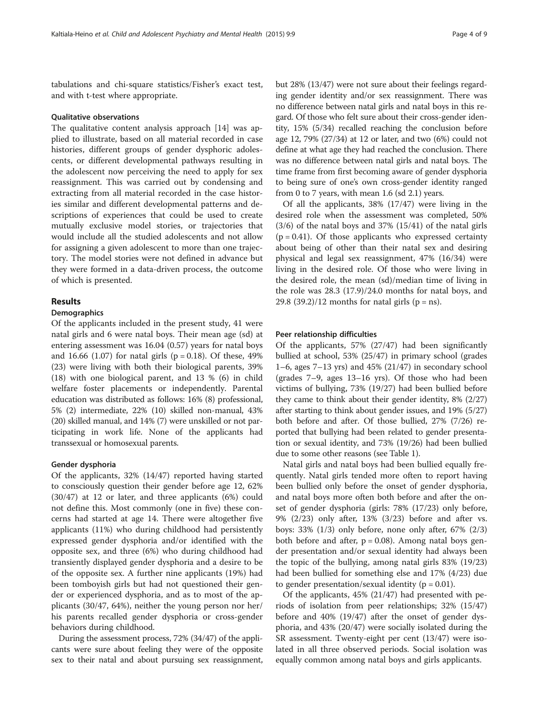tabulations and chi-square statistics/Fisher's exact test, and with t-test where appropriate.

#### Qualitative observations

The qualitative content analysis approach [\[14](#page-9-0)] was applied to illustrate, based on all material recorded in case histories, different groups of gender dysphoric adolescents, or different developmental pathways resulting in the adolescent now perceiving the need to apply for sex reassignment. This was carried out by condensing and extracting from all material recorded in the case histories similar and different developmental patterns and descriptions of experiences that could be used to create mutually exclusive model stories, or trajectories that would include all the studied adolescents and not allow for assigning a given adolescent to more than one trajectory. The model stories were not defined in advance but they were formed in a data-driven process, the outcome of which is presented.

# Results

# **Demographics**

Of the applicants included in the present study, 41 were natal girls and 6 were natal boys. Their mean age (sd) at entering assessment was 16.04 (0.57) years for natal boys and 16.66 (1.07) for natal girls ( $p = 0.18$ ). Of these, 49% (23) were living with both their biological parents, 39% (18) with one biological parent, and 13 % (6) in child welfare foster placements or independently. Parental education was distributed as follows: 16% (8) professional, 5% (2) intermediate, 22% (10) skilled non-manual, 43% (20) skilled manual, and 14% (7) were unskilled or not participating in work life. None of the applicants had transsexual or homosexual parents.

#### Gender dysphoria

Of the applicants, 32% (14/47) reported having started to consciously question their gender before age 12, 62% (30/47) at 12 or later, and three applicants (6%) could not define this. Most commonly (one in five) these concerns had started at age 14. There were altogether five applicants (11%) who during childhood had persistently expressed gender dysphoria and/or identified with the opposite sex, and three (6%) who during childhood had transiently displayed gender dysphoria and a desire to be of the opposite sex. A further nine applicants (19%) had been tomboyish girls but had not questioned their gender or experienced dysphoria, and as to most of the applicants (30/47, 64%), neither the young person nor her/ his parents recalled gender dysphoria or cross-gender behaviors during childhood.

During the assessment process, 72% (34/47) of the applicants were sure about feeling they were of the opposite sex to their natal and about pursuing sex reassignment,

but 28% (13/47) were not sure about their feelings regarding gender identity and/or sex reassignment. There was no difference between natal girls and natal boys in this regard. Of those who felt sure about their cross-gender identity, 15% (5/34) recalled reaching the conclusion before age 12, 79% (27/34) at 12 or later, and two (6%) could not define at what age they had reached the conclusion. There was no difference between natal girls and natal boys. The time frame from first becoming aware of gender dysphoria to being sure of one's own cross-gender identity ranged from 0 to 7 years, with mean 1.6 (sd 2.1) years.

Of all the applicants, 38% (17/47) were living in the desired role when the assessment was completed, 50% (3/6) of the natal boys and 37% (15/41) of the natal girls  $(p = 0.41)$ . Of those applicants who expressed certainty about being of other than their natal sex and desiring physical and legal sex reassignment, 47% (16/34) were living in the desired role. Of those who were living in the desired role, the mean (sd)/median time of living in the role was 28.3 (17.9)/24.0 months for natal boys, and 29.8  $(39.2)/12$  months for natal girls (p = ns).

#### Peer relationship difficulties

Of the applicants, 57% (27/47) had been significantly bullied at school, 53% (25/47) in primary school (grades 1–6, ages 7–13 yrs) and 45% (21/47) in secondary school (grades 7–9, ages 13–16 yrs). Of those who had been victims of bullying, 73% (19/27) had been bullied before they came to think about their gender identity, 8% (2/27) after starting to think about gender issues, and 19% (5/27) both before and after. Of those bullied, 27% (7/26) reported that bullying had been related to gender presentation or sexual identity, and 73% (19/26) had been bullied due to some other reasons (see Table [1](#page-3-0)).

Natal girls and natal boys had been bullied equally frequently. Natal girls tended more often to report having been bullied only before the onset of gender dysphoria, and natal boys more often both before and after the onset of gender dysphoria (girls: 78% (17/23) only before, 9% (2/23) only after, 13% (3/23) before and after vs. boys: 33% (1/3) only before, none only after, 67% (2/3) both before and after,  $p = 0.08$ ). Among natal boys gender presentation and/or sexual identity had always been the topic of the bullying, among natal girls 83% (19/23) had been bullied for something else and 17% (4/23) due to gender presentation/sexual identity ( $p = 0.01$ ).

Of the applicants, 45% (21/47) had presented with periods of isolation from peer relationships; 32% (15/47) before and 40% (19/47) after the onset of gender dysphoria, and 43% (20/47) were socially isolated during the SR assessment. Twenty-eight per cent (13/47) were isolated in all three observed periods. Social isolation was equally common among natal boys and girls applicants.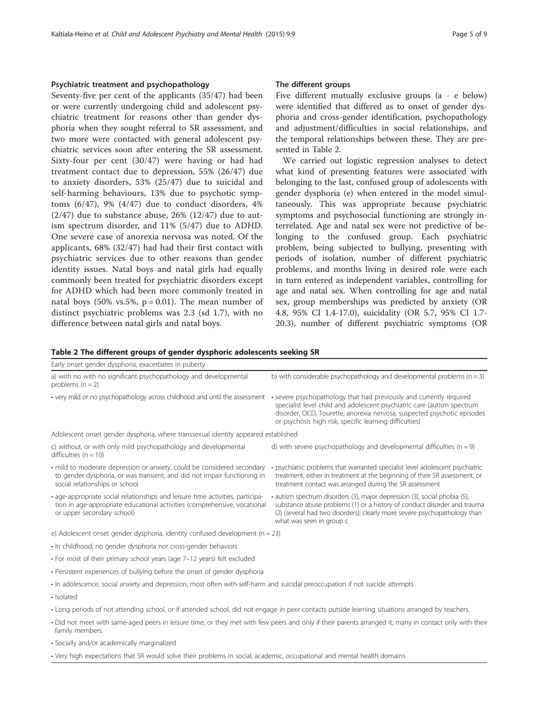#### Psychiatric treatment and psychopathology

Seventy-five per cent of the applicants (35/47) had been or were currently undergoing child and adolescent psychiatric treatment for reasons other than gender dysphoria when they sought referral to SR assessment, and two more were contacted with general adolescent psychiatric services soon after entering the SR assessment. Sixty-four per cent (30/47) were having or had had treatment contact due to depression, 55% (26/47) due to anxiety disorders, 53% (25/47) due to suicidal and self-harming behaviours, 13% due to psychotic symptoms  $(6/47)$ , 9%  $(4/47)$  due to conduct disorders, 4%  $(2/47)$  due to substance abuse, 26%  $(12/47)$  due to autism spectrum disorder, and 11% (5/47) due to ADHD. One severe case of anorexia nervosa was noted. Of the applicants, 68% (32/47) had had their first contact with psychiatric services due to other reasons than gender identity issues. Natal boys and natal girls had equally commonly been treated for psychiatric disorders except for ADHD which had been more commonly treated in natal boys (50% vs.5%,  $p = 0.01$ ). The mean number of distinct psychiatric problems was 2.3 (sd 1.7), with no difference between natal girls and natal boys.

#### The different groups

Five different mutually exclusive groups (a - e below) were identified that differed as to onset of gender dysphoria and cross-gender identification, psychopathology and adjustment/difficulties in social relationships, and the temporal relationships between these. They are presented in Table 2.

We carried out logistic regression analyses to detect what kind of presenting features were associated with belonging to the last, confused group of adolescents with gender dysphoria (e) when entered in the model simultaneously. This was appropriate because psychiatric symptoms and psychosocial functioning are strongly interrelated. Age and natal sex were not predictive of belonging to the confused group. Each psychiatric problem, being subjected to bullying, presenting with periods of isolation, number of different psychiatric problems, and months living in desired role were each in turn entered as independent variables, controlling for age and natal sex. When controlling for age and natal sex, group memberships was predicted by anxiety (OR 4.8, 95% CI 1.4-17.0), suicidality (OR 5.7, 95% CI 1.7- 20.3), number of different psychiatric symptoms (OR

Table 2 The different groups of gender dysphoric adolescents seeking SR

| Early onset gender dysphoria, exacerbates in puberty                                                                                                                                      |                                                                                                                                                                                                                                                                                      |
|-------------------------------------------------------------------------------------------------------------------------------------------------------------------------------------------|--------------------------------------------------------------------------------------------------------------------------------------------------------------------------------------------------------------------------------------------------------------------------------------|
| a) with no with no significant psychopathology and developmental<br>problems $(n = 2)$                                                                                                    | b) with considerable psychopathology and developmental problems ( $n = 3$ )                                                                                                                                                                                                          |
| • very mild or no psychopathology across childhood and until the assessment                                                                                                               | • severe psychopathology that had previously and currently required<br>specialist level child and adolescent psychiatric care (autism spectrum<br>disorder, OCD, Tourette, anorexia nervosa, suspected psychotic episodes<br>or psychosis high risk, specific learning difficulties) |
| Adolescent onset gender dysphoria, where transsexual identity appeared established                                                                                                        |                                                                                                                                                                                                                                                                                      |
| c) without, or with only mild psychopathology and developmental<br>difficulties ( $n = 10$ )                                                                                              | d) with severe psychopathology and developmental difficulties ( $n = 9$ )                                                                                                                                                                                                            |
| · mild to moderate depression or anxiety, could be considered secondary<br>to gender dysphoria, or was transient, and did not impair functioning in<br>social relationships or school     | · psychiatric problems that warranted specialist level adolescent psychiatric<br>treatment, either in treatment at the beginning of their SR assessment, or<br>treatment contact was arranged during the SR assessment                                                               |
| · age-appropriate social relationships and leisure time activities, participa-<br>tion in age-appropriate educational activities (comprehensive, vocational<br>or upper secondary school) | · autism spectrum disorders (3), major depression (3), social phobia (5),<br>substance abuse problems (1) or a history of conduct disorder and trauma<br>(2) (several had two disorders); clearly more severe psychopathology than<br>what was seen in group c                       |
| e) Adolescent onset gender dysphoria, identity confused development ( $n = 23$ )                                                                                                          |                                                                                                                                                                                                                                                                                      |
| · In childhood, no gender dysphoria nor cross-gender behaviors                                                                                                                            |                                                                                                                                                                                                                                                                                      |
| • For most of their primary school years (age 7-12 years) felt excluded                                                                                                                   |                                                                                                                                                                                                                                                                                      |
| • Persistent experiences of bullying before the onset of gender dysphoria                                                                                                                 |                                                                                                                                                                                                                                                                                      |
| In adolescence, social anxiety and depression, most often with self-harm and suicidal preoccupation if not suicide attempts                                                               |                                                                                                                                                                                                                                                                                      |
| · Isolated                                                                                                                                                                                |                                                                                                                                                                                                                                                                                      |
| • Long periods of not attending school, or if attended school, did not engage in peer contacts outside learning situations arranged by teachers.                                          |                                                                                                                                                                                                                                                                                      |
| family members.                                                                                                                                                                           | • Did not meet with same-aged peers in leisure time, or they met with few peers and only if their parents arranged it; many in contact only with their                                                                                                                               |

• Socially and/or academically marginalized

• Very high expectations that SR would solve their problems in social, academic, occupational and mental health domains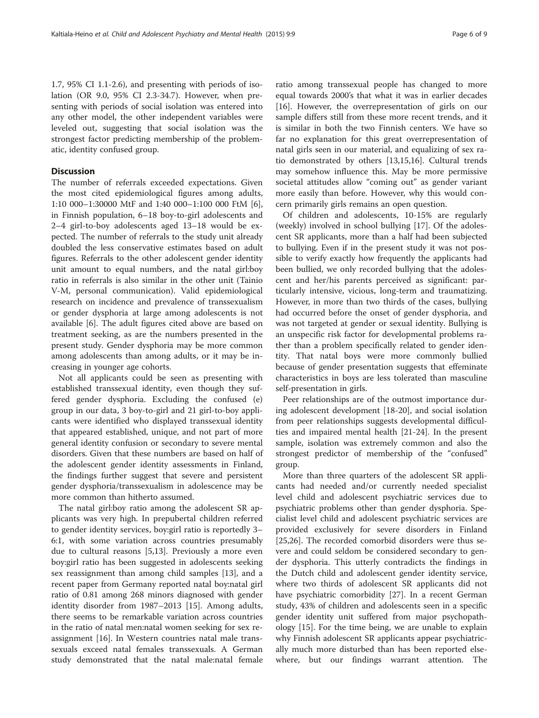1.7, 95% CI 1.1-2.6), and presenting with periods of isolation (OR 9.0, 95% CI 2.3-34.7). However, when presenting with periods of social isolation was entered into any other model, the other independent variables were leveled out, suggesting that social isolation was the strongest factor predicting membership of the problematic, identity confused group.

# **Discussion**

The number of referrals exceeded expectations. Given the most cited epidemiological figures among adults, 1:10 000–1:30000 MtF and 1:40 000–1:100 000 FtM [\[6](#page-9-0)], in Finnish population, 6–18 boy-to-girl adolescents and 2–4 girl-to-boy adolescents aged 13–18 would be expected. The number of referrals to the study unit already doubled the less conservative estimates based on adult figures. Referrals to the other adolescent gender identity unit amount to equal numbers, and the natal girl:boy ratio in referrals is also similar in the other unit (Tainio V-M, personal communication). Valid epidemiological research on incidence and prevalence of transsexualism or gender dysphoria at large among adolescents is not available [\[6](#page-9-0)]. The adult figures cited above are based on treatment seeking, as are the numbers presented in the present study. Gender dysphoria may be more common among adolescents than among adults, or it may be increasing in younger age cohorts.

Not all applicants could be seen as presenting with established transsexual identity, even though they suffered gender dysphoria. Excluding the confused (e) group in our data, 3 boy-to-girl and 21 girl-to-boy applicants were identified who displayed transsexual identity that appeared established, unique, and not part of more general identity confusion or secondary to severe mental disorders. Given that these numbers are based on half of the adolescent gender identity assessments in Finland, the findings further suggest that severe and persistent gender dysphoria/transsexualism in adolescence may be more common than hitherto assumed.

The natal girl:boy ratio among the adolescent SR applicants was very high. In prepubertal children referred to gender identity services, boy:girl ratio is reportedly 3– 6:1, with some variation across countries presumably due to cultural reasons [[5](#page-9-0),[13](#page-9-0)]. Previously a more even boy:girl ratio has been suggested in adolescents seeking sex reassignment than among child samples [\[13](#page-9-0)], and a recent paper from Germany reported natal boy:natal girl ratio of 0.81 among 268 minors diagnosed with gender identity disorder from 1987–2013 [[15](#page-9-0)]. Among adults, there seems to be remarkable variation across countries in the ratio of natal men:natal women seeking for sex reassignment [\[16](#page-9-0)]. In Western countries natal male transsexuals exceed natal females transsexuals. A German study demonstrated that the natal male:natal female ratio among transsexual people has changed to more equal towards 2000's that what it was in earlier decades [[16\]](#page-9-0). However, the overrepresentation of girls on our sample differs still from these more recent trends, and it is similar in both the two Finnish centers. We have so far no explanation for this great overrepresentation of natal girls seen in our material, and equalizing of sex ratio demonstrated by others [\[13,15,16\]](#page-9-0). Cultural trends may somehow influence this. May be more permissive societal attitudes allow "coming out" as gender variant more easily than before. However, why this would concern primarily girls remains an open question.

Of children and adolescents, 10-15% are regularly (weekly) involved in school bullying [\[17](#page-9-0)]. Of the adolescent SR applicants, more than a half had been subjected to bullying. Even if in the present study it was not possible to verify exactly how frequently the applicants had been bullied, we only recorded bullying that the adolescent and her/his parents perceived as significant: particularly intensive, vicious, long-term and traumatizing. However, in more than two thirds of the cases, bullying had occurred before the onset of gender dysphoria, and was not targeted at gender or sexual identity. Bullying is an unspecific risk factor for developmental problems rather than a problem specifically related to gender identity. That natal boys were more commonly bullied because of gender presentation suggests that effeminate characteristics in boys are less tolerated than masculine self-presentation in girls.

Peer relationships are of the outmost importance during adolescent development [[18-20](#page-9-0)], and social isolation from peer relationships suggests developmental difficulties and impaired mental health [\[21](#page-9-0)-[24\]](#page-9-0). In the present sample, isolation was extremely common and also the strongest predictor of membership of the "confused" group.

More than three quarters of the adolescent SR applicants had needed and/or currently needed specialist level child and adolescent psychiatric services due to psychiatric problems other than gender dysphoria. Specialist level child and adolescent psychiatric services are provided exclusively for severe disorders in Finland [[25,26\]](#page-9-0). The recorded comorbid disorders were thus severe and could seldom be considered secondary to gender dysphoria. This utterly contradicts the findings in the Dutch child and adolescent gender identity service, where two thirds of adolescent SR applicants did not have psychiatric comorbidity [\[27](#page-9-0)]. In a recent German study, 43% of children and adolescents seen in a specific gender identity unit suffered from major psychopathology [\[15](#page-9-0)]. For the time being, we are unable to explain why Finnish adolescent SR applicants appear psychiatrically much more disturbed than has been reported elsewhere, but our findings warrant attention. The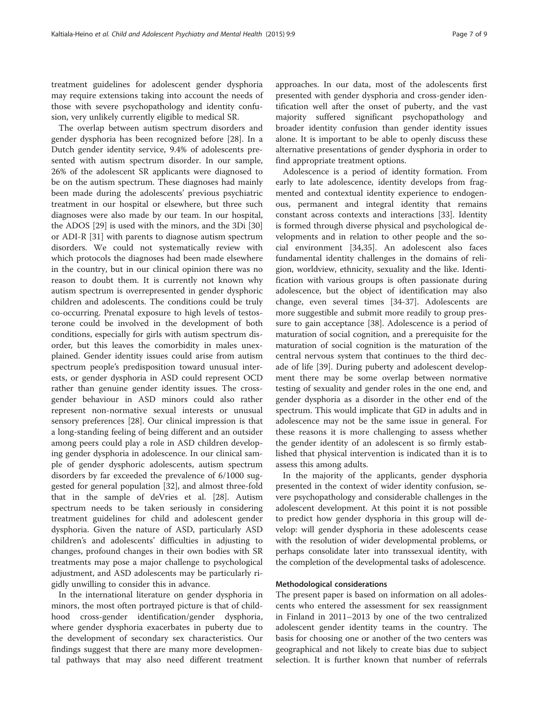treatment guidelines for adolescent gender dysphoria may require extensions taking into account the needs of those with severe psychopathology and identity confusion, very unlikely currently eligible to medical SR.

The overlap between autism spectrum disorders and gender dysphoria has been recognized before [\[28](#page-9-0)]. In a Dutch gender identity service, 9.4% of adolescents presented with autism spectrum disorder. In our sample, 26% of the adolescent SR applicants were diagnosed to be on the autism spectrum. These diagnoses had mainly been made during the adolescents' previous psychiatric treatment in our hospital or elsewhere, but three such diagnoses were also made by our team. In our hospital, the ADOS [\[29](#page-9-0)] is used with the minors, and the 3Di [[30](#page-9-0)] or ADI-R [[31\]](#page-9-0) with parents to diagnose autism spectrum disorders. We could not systematically review with which protocols the diagnoses had been made elsewhere in the country, but in our clinical opinion there was no reason to doubt them. It is currently not known why autism spectrum is overrepresented in gender dysphoric children and adolescents. The conditions could be truly co-occurring. Prenatal exposure to high levels of testosterone could be involved in the development of both conditions, especially for girls with autism spectrum disorder, but this leaves the comorbidity in males unexplained. Gender identity issues could arise from autism spectrum people's predisposition toward unusual interests, or gender dysphoria in ASD could represent OCD rather than genuine gender identity issues. The crossgender behaviour in ASD minors could also rather represent non-normative sexual interests or unusual sensory preferences [\[28](#page-9-0)]. Our clinical impression is that a long-standing feeling of being different and an outsider among peers could play a role in ASD children developing gender dysphoria in adolescence. In our clinical sample of gender dysphoric adolescents, autism spectrum disorders by far exceeded the prevalence of 6/1000 suggested for general population [\[32](#page-9-0)], and almost three-fold that in the sample of deVries et al. [\[28](#page-9-0)]. Autism spectrum needs to be taken seriously in considering treatment guidelines for child and adolescent gender dysphoria. Given the nature of ASD, particularly ASD children's and adolescents' difficulties in adjusting to changes, profound changes in their own bodies with SR treatments may pose a major challenge to psychological adjustment, and ASD adolescents may be particularly rigidly unwilling to consider this in advance.

In the international literature on gender dysphoria in minors, the most often portrayed picture is that of childhood cross-gender identification/gender dysphoria, where gender dysphoria exacerbates in puberty due to the development of secondary sex characteristics. Our findings suggest that there are many more developmental pathways that may also need different treatment approaches. In our data, most of the adolescents first presented with gender dysphoria and cross-gender identification well after the onset of puberty, and the vast majority suffered significant psychopathology and broader identity confusion than gender identity issues alone. It is important to be able to openly discuss these alternative presentations of gender dysphoria in order to find appropriate treatment options.

Adolescence is a period of identity formation. From early to late adolescence, identity develops from fragmented and contextual identity experience to endogenous, permanent and integral identity that remains constant across contexts and interactions [\[33](#page-9-0)]. Identity is formed through diverse physical and psychological developments and in relation to other people and the social environment [[34,35](#page-9-0)]. An adolescent also faces fundamental identity challenges in the domains of religion, worldview, ethnicity, sexuality and the like. Identification with various groups is often passionate during adolescence, but the object of identification may also change, even several times [[34-37\]](#page-9-0). Adolescents are more suggestible and submit more readily to group pressure to gain acceptance [\[38](#page-9-0)]. Adolescence is a period of maturation of social cognition, and a prerequisite for the maturation of social cognition is the maturation of the central nervous system that continues to the third decade of life [[39\]](#page-9-0). During puberty and adolescent development there may be some overlap between normative testing of sexuality and gender roles in the one end, and gender dysphoria as a disorder in the other end of the spectrum. This would implicate that GD in adults and in adolescence may not be the same issue in general. For these reasons it is more challenging to assess whether the gender identity of an adolescent is so firmly established that physical intervention is indicated than it is to assess this among adults.

In the majority of the applicants, gender dysphoria presented in the context of wider identity confusion, severe psychopathology and considerable challenges in the adolescent development. At this point it is not possible to predict how gender dysphoria in this group will develop: will gender dysphoria in these adolescents cease with the resolution of wider developmental problems, or perhaps consolidate later into transsexual identity, with the completion of the developmental tasks of adolescence.

# Methodological considerations

The present paper is based on information on all adolescents who entered the assessment for sex reassignment in Finland in 2011–2013 by one of the two centralized adolescent gender identity teams in the country. The basis for choosing one or another of the two centers was geographical and not likely to create bias due to subject selection. It is further known that number of referrals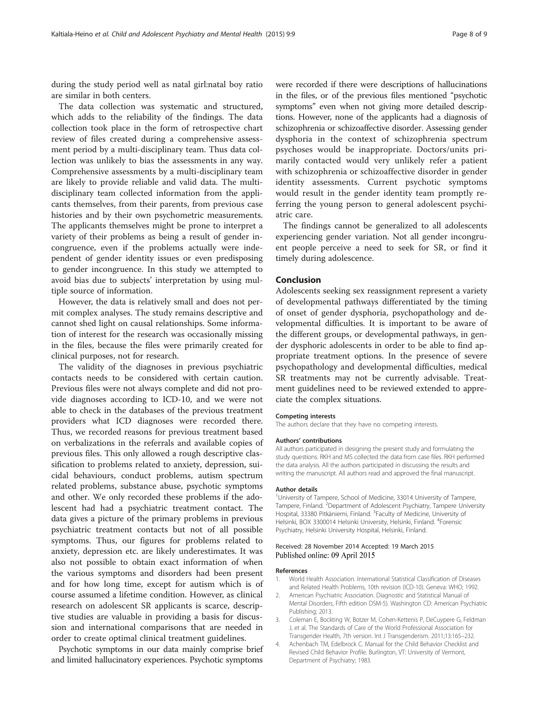<span id="page-8-0"></span>during the study period well as natal girl:natal boy ratio are similar in both centers.

The data collection was systematic and structured, which adds to the reliability of the findings. The data collection took place in the form of retrospective chart review of files created during a comprehensive assessment period by a multi-disciplinary team. Thus data collection was unlikely to bias the assessments in any way. Comprehensive assessments by a multi-disciplinary team are likely to provide reliable and valid data. The multidisciplinary team collected information from the applicants themselves, from their parents, from previous case histories and by their own psychometric measurements. The applicants themselves might be prone to interpret a variety of their problems as being a result of gender incongruence, even if the problems actually were independent of gender identity issues or even predisposing to gender incongruence. In this study we attempted to avoid bias due to subjects' interpretation by using multiple source of information.

However, the data is relatively small and does not permit complex analyses. The study remains descriptive and cannot shed light on causal relationships. Some information of interest for the research was occasionally missing in the files, because the files were primarily created for clinical purposes, not for research.

The validity of the diagnoses in previous psychiatric contacts needs to be considered with certain caution. Previous files were not always complete and did not provide diagnoses according to ICD-10, and we were not able to check in the databases of the previous treatment providers what ICD diagnoses were recorded there. Thus, we recorded reasons for previous treatment based on verbalizations in the referrals and available copies of previous files. This only allowed a rough descriptive classification to problems related to anxiety, depression, suicidal behaviours, conduct problems, autism spectrum related problems, substance abuse, psychotic symptoms and other. We only recorded these problems if the adolescent had had a psychiatric treatment contact. The data gives a picture of the primary problems in previous psychiatric treatment contacts but not of all possible symptoms. Thus, our figures for problems related to anxiety, depression etc. are likely underestimates. It was also not possible to obtain exact information of when the various symptoms and disorders had been present and for how long time, except for autism which is of course assumed a lifetime condition. However, as clinical research on adolescent SR applicants is scarce, descriptive studies are valuable in providing a basis for discussion and international comparisons that are needed in order to create optimal clinical treatment guidelines.

Psychotic symptoms in our data mainly comprise brief and limited hallucinatory experiences. Psychotic symptoms

were recorded if there were descriptions of hallucinations in the files, or of the previous files mentioned "psychotic symptoms" even when not giving more detailed descriptions. However, none of the applicants had a diagnosis of schizophrenia or schizoaffective disorder. Assessing gender dysphoria in the context of schizophrenia spectrum psychoses would be inappropriate. Doctors/units primarily contacted would very unlikely refer a patient with schizophrenia or schizoaffective disorder in gender identity assessments. Current psychotic symptoms would result in the gender identity team promptly referring the young person to general adolescent psychiatric care.

The findings cannot be generalized to all adolescents experiencing gender variation. Not all gender incongruent people perceive a need to seek for SR, or find it timely during adolescence.

# Conclusion

Adolescents seeking sex reassignment represent a variety of developmental pathways differentiated by the timing of onset of gender dysphoria, psychopathology and developmental difficulties. It is important to be aware of the different groups, or developmental pathways, in gender dysphoric adolescents in order to be able to find appropriate treatment options. In the presence of severe psychopathology and developmental difficulties, medical SR treatments may not be currently advisable. Treatment guidelines need to be reviewed extended to appreciate the complex situations.

#### Competing interests

The authors declare that they have no competing interests.

#### Authors' contributions

All authors participated in designing the present study and formulating the study questions. RKH and MS collected the data from case files. RKH performed the data analysis. All the authors participated in discussing the results and writing the manuscript. All authors read and approved the final manuscript.

#### Author details

<sup>1</sup>University of Tampere, School of Medicine, 33014 University of Tampere, Tampere, Finland. <sup>2</sup>Department of Adolescent Psychiatry, Tampere University Hospital, 33380 Pitkäniemi, Finland. <sup>3</sup>Faculty of Medicine, University of Helsinki, BOX 3300014 Helsinki University, Helsinki, Finland. <sup>4</sup>Forensic Psychiatry, Helsinki University Hospital, Helsinki, Finland.

#### Received: 28 November 2014 Accepted: 19 March 2015 Published online: 09 April 2015

#### References

- 1. World Health Association. International Statistical Classification of Diseases and Related Health Problems, 10th revision (ICD-10). Geneva: WHO; 1992.
- 2. American Psychiatric Association. Diagnostic and Statistical Manual of Mental Disorders, Fifth edition DSM-5). Washington CD: American Psychiatric Publishing; 2013.
- 3. Coleman E, Bockting W, Botzer M, Cohen-Kettenis P, DeCuypere G, Feldman J, et al. The Standards of Care of the World Professional Association for Transgender Health, 7th version. Int J Transgenderism. 2011;13:165–232.
- 4. Achenbach TM, Edelbrock C. Manual for the Child Behavior Checklist and Revised Child Behavior Profile. Burlington, VT: University of Vermont, Department of Psychiatry; 1983.